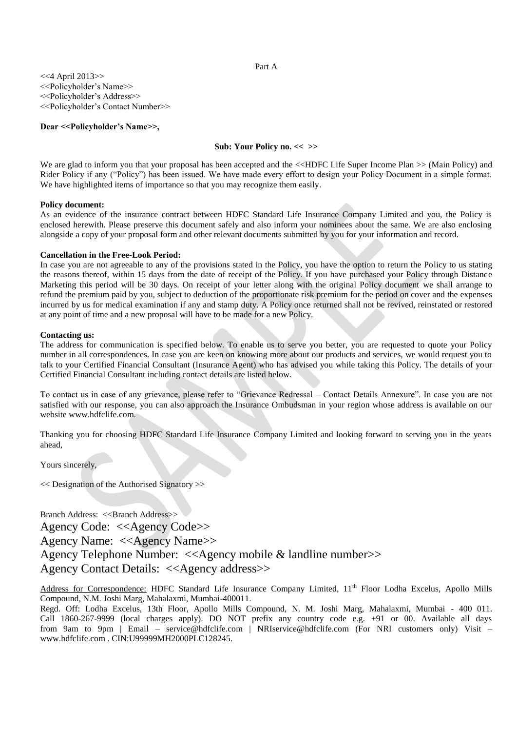### Part A

<<4 April 2013>> <<Policyholder's Name>> <<Policyholder's Address>> <<Policyholder's Contact Number>>

**Dear <<Policyholder's Name>>,** 

# **Sub: Your Policy no. << >>**

We are glad to inform you that your proposal has been accepted and the <<HDFC Life Super Income Plan >> (Main Policy) and Rider Policy if any ("Policy") has been issued. We have made every effort to design your Policy Document in a simple format. We have highlighted items of importance so that you may recognize them easily.

# **Policy document:**

As an evidence of the insurance contract between HDFC Standard Life Insurance Company Limited and you, the Policy is enclosed herewith. Please preserve this document safely and also inform your nominees about the same. We are also enclosing alongside a copy of your proposal form and other relevant documents submitted by you for your information and record.

# **Cancellation in the Free-Look Period:**

In case you are not agreeable to any of the provisions stated in the Policy, you have the option to return the Policy to us stating the reasons thereof, within 15 days from the date of receipt of the Policy. If you have purchased your Policy through Distance Marketing this period will be 30 days. On receipt of your letter along with the original Policy document we shall arrange to refund the premium paid by you, subject to deduction of the proportionate risk premium for the period on cover and the expenses incurred by us for medical examination if any and stamp duty. A Policy once returned shall not be revived, reinstated or restored at any point of time and a new proposal will have to be made for a new Policy.

### **Contacting us:**

The address for communication is specified below. To enable us to serve you better, you are requested to quote your Policy number in all correspondences. In case you are keen on knowing more about our products and services, we would request you to talk to your Certified Financial Consultant (Insurance Agent) who has advised you while taking this Policy. The details of your Certified Financial Consultant including contact details are listed below.

To contact us in case of any grievance, please refer to "Grievance Redressal – Contact Details Annexure". In case you are not satisfied with our response, you can also approach the Insurance Ombudsman in your region whose address is available on our website www.hdfclife.com.

Thanking you for choosing HDFC Standard Life Insurance Company Limited and looking forward to serving you in the years ahead,

Yours sincerely,

<< Designation of the Authorised Signatory >>

Branch Address: <<Br/>Shanch Address>> Agency Code: <<Agency Code>> Agency Name: <<Agency Name>> Agency Telephone Number: <<Agency mobile & landline number>> Agency Contact Details: <<Agency address>>

Address for Correspondence: HDFC Standard Life Insurance Company Limited, 11<sup>th</sup> Floor Lodha Excelus, Apollo Mills Compound, N.M. Joshi Marg, Mahalaxmi, Mumbai-400011.

Regd. Off: Lodha Excelus, 13th Floor, Apollo Mills Compound, N. M. Joshi Marg, Mahalaxmi, Mumbai - 400 011. Call 1860-267-9999 (local charges apply). DO NOT prefix any country code e.g. +91 or 00. Available all days from 9am to 9pm | Email – service@hdfclife.com | NRIservice@hdfclife.com (For NRI customers only) Visit – [www.hdfclife.com](http://www.hdfclife.com/) . CIN:U99999MH2000PLC128245.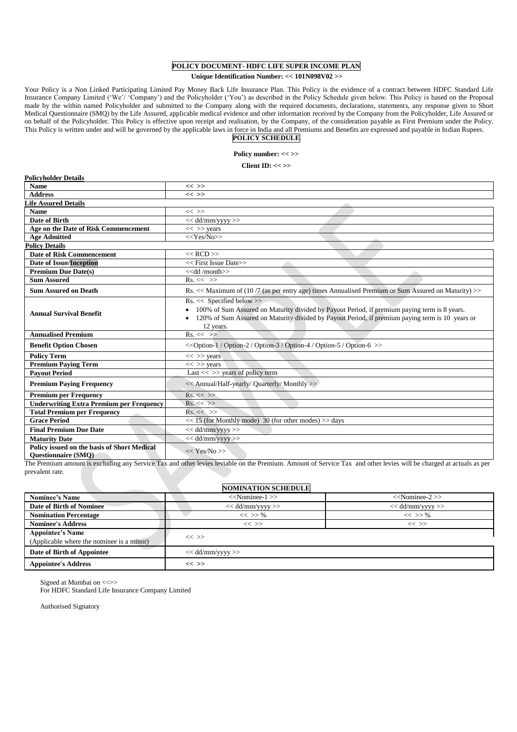# **POLICY DOCUMENT- HDFC LIFE SUPER INCOME PLAN**

### **Unique Identification Number: << 101N098V02 >>**

Your Policy is a Non Linked Participating Limited Pay Money Back Life Insurance Plan. This Policy is the evidence of a contract between HDFC Standard Life Insurance Company Limited ('We'/ 'Company') and the Policyholder ('You') as described in the Policy Schedule given below. This Policy is based on the Proposal made by the within named Policyholder and submitted to the Company along with the required documents, declarations, statements, any response given to Short Medical Questionnaire (SMQ) by the Life Assured, applicable medical evidence and other information received by the Company from the Policyholder, Life Assured or on behalf of the Policyholder. This Policy is effective upon receipt and realisation, by the Company, of the consideration payable as First Premium under the Policy. This Policy is written under and will be governed by the applicable laws in force in India and all Premiums and Benefits are expressed and payable in Indian Rupees.

# **POLICY SCHEDULE**

# **Policy number: << >>**

**Client ID: << >>**

| <b>Policyholder Details</b>                                               |                                                                                                                                                                                                                                                |  |  |  |  |
|---------------------------------------------------------------------------|------------------------------------------------------------------------------------------------------------------------------------------------------------------------------------------------------------------------------------------------|--|--|--|--|
| <b>Name</b>                                                               | $<<$ >>                                                                                                                                                                                                                                        |  |  |  |  |
| <b>Address</b>                                                            | $<<$ >>                                                                                                                                                                                                                                        |  |  |  |  |
| <b>Life Assured Details</b>                                               |                                                                                                                                                                                                                                                |  |  |  |  |
| <b>Name</b>                                                               | $<<$ >>                                                                                                                                                                                                                                        |  |  |  |  |
| Date of Birth                                                             | $<<$ dd/mm/yyyy >>                                                                                                                                                                                                                             |  |  |  |  |
| Age on the Date of Risk Commencement                                      | $<<$ >> years                                                                                                                                                                                                                                  |  |  |  |  |
| <b>Age Admitted</b>                                                       | $<<$ Yes/No>>                                                                                                                                                                                                                                  |  |  |  |  |
| <b>Policy Details</b>                                                     |                                                                                                                                                                                                                                                |  |  |  |  |
| <b>Date of Risk Commencement</b>                                          | $<<$ RCD $>>$                                                                                                                                                                                                                                  |  |  |  |  |
| <b>Date of Issue/Inception</b>                                            | << First Issue Date>>                                                                                                                                                                                                                          |  |  |  |  |
| <b>Premium Due Date(s)</b>                                                | < <dd month="">&gt;</dd>                                                                                                                                                                                                                       |  |  |  |  |
| <b>Sum Assured</b>                                                        | $Rs. \ll \gg$                                                                                                                                                                                                                                  |  |  |  |  |
| <b>Sum Assured on Death</b>                                               | Rs. << Maximum of (10/7 (as per entry age) times Annualised Premium or Sum Assured on Maturity) >>                                                                                                                                             |  |  |  |  |
| <b>Annual Survival Benefit</b>                                            | $Rs. \ll$ Specified below >><br>• 100% of Sum Assured on Maturity divided by Payout Period, if premium paying term is 8 years.<br>120% of Sum Assured on Maturity divided by Payout Period, if premium paying term is 10 years or<br>12 years. |  |  |  |  |
| <b>Annualised Premium</b>                                                 | $Rs. \ll \gg$                                                                                                                                                                                                                                  |  |  |  |  |
| <b>Benefit Option Chosen</b>                                              | < <option-1 option-2="" option-3="" option-4="" option-5="" option-6="">&gt;</option-1>                                                                                                                                                        |  |  |  |  |
| <b>Policy Term</b>                                                        | $<<$ >> years                                                                                                                                                                                                                                  |  |  |  |  |
| <b>Premium Paving Term</b>                                                | $<<$ >> years                                                                                                                                                                                                                                  |  |  |  |  |
| <b>Pavout Period</b>                                                      | Last $<<$ >> years of policy term                                                                                                                                                                                                              |  |  |  |  |
| <b>Premium Paving Frequency</b>                                           | << Annual/Half-yearly/ Quarterly/ Monthly >>                                                                                                                                                                                                   |  |  |  |  |
| <b>Premium per Frequency</b>                                              | $Rs. \ll \gg$                                                                                                                                                                                                                                  |  |  |  |  |
| <b>Underwriting Extra Premium per Frequency</b>                           | $Rs. \ll \gg$                                                                                                                                                                                                                                  |  |  |  |  |
| <b>Total Premium per Frequency</b>                                        | $Rs. \ll \gg$                                                                                                                                                                                                                                  |  |  |  |  |
| <b>Grace Period</b>                                                       | $<<$ 15 (for Monthly mode) 30 (for other modes) $>>$ days                                                                                                                                                                                      |  |  |  |  |
| <b>Final Premium Due Date</b>                                             | $<<$ dd/mm/yyyy $>>$                                                                                                                                                                                                                           |  |  |  |  |
| <b>Maturity Date</b>                                                      | $<<$ dd/mm/yyyy $>>$                                                                                                                                                                                                                           |  |  |  |  |
| Policy issued on the basis of Short Medical<br><b>Questionnaire (SMQ)</b> | $<<$ Yes/No >>                                                                                                                                                                                                                                 |  |  |  |  |

The Premium amount is excluding any Service Tax and other levies leviable on the Premium. Amount of Service Tax and other levies will be charged at actuals as per prevalent rate.

| <b>NOMINATION SCHEDULE</b>                                           |                      |                      |  |  |  |
|----------------------------------------------------------------------|----------------------|----------------------|--|--|--|
| <b>Nominee's Name</b>                                                | $<<$ Nominee-1 $>>$  | $<<$ Nominee-2 $>>$  |  |  |  |
| <b>Date of Birth of Nominee</b>                                      | $<<$ dd/mm/yyyy $>>$ | $<<$ dd/mm/yyyy $>>$ |  |  |  |
| <b>Nomination Percentage</b>                                         | $<<$ >> %            | $<<$ >> %            |  |  |  |
| <b>Nominee's Address</b>                                             | $<<$ >>              | $<<$ >>              |  |  |  |
| <b>Appointee's Name</b><br>(Applicable where the nominee is a minor) | $<<$ >>              |                      |  |  |  |
| Date of Birth of Appointee                                           | $<<$ dd/mm/yyyy $>>$ |                      |  |  |  |
| <b>Appointee's Address</b>                                           | $<<$ >>              |                      |  |  |  |

Signed at Mumbai on < $\ll$ For HDFC Standard Life Insurance Company Limited

Authorised Signatory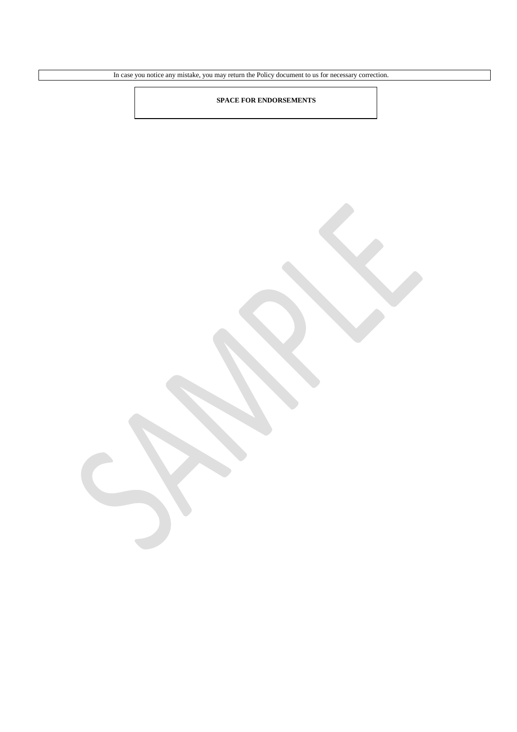In case you notice any mistake, you may return the Policy document to us for necessary correction.

# **SPACE FOR ENDORSEMENTS**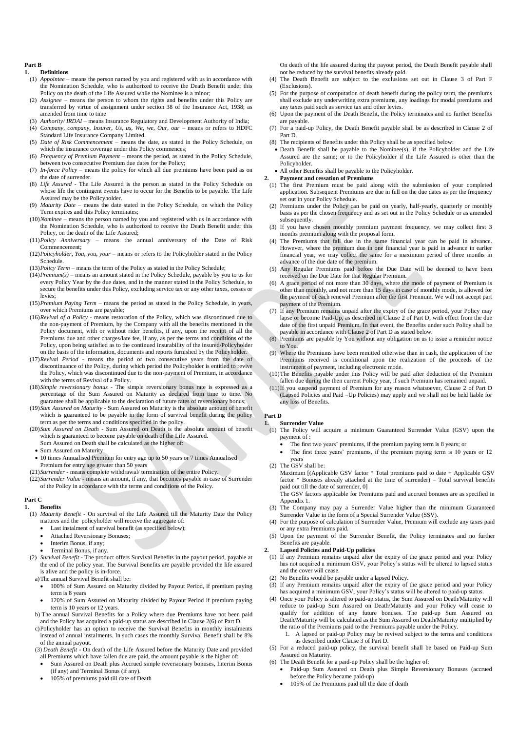#### **Part B**

#### **1. Definitions**

- (1) *Appointee* means the person named by you and registered with us in accordance with the Nomination Schedule, who is authorized to receive the Death Benefit under this Policy on the death of the Life Assured while the Nominee is a minor;
- (2) *Assignee* means the person to whom the rights and benefits under this Policy are transferred by virtue of assignment under section 38 of the Insurance Act, 1938; as amended from time to time
- (3) *Authority/ IRDAI* means Insurance Regulatory and Development Authority of India; (4) *Company, company, Insurer, Us, us, We, we, Our, our* – means or refers to HDFC
- Standard Life Insurance Company Limited. (5) *Date of Risk Commencement* – means the date, as stated in the Policy Schedule, on which the insurance coverage under this Policy commences;
- (6) *Frequency of Premium Payment* means the period, as stated in the Policy Schedule, between two consecutive Premium due dates for the Policy;
- (7) *In-force Policy* means the policy for which all due premiums have been paid as on the date of surrender.
- (8) *Life Assured* The Life Assured is the person as stated in the Policy Schedule on whose life the contingent events have to occur for the Benefits to be payable. The Life Assured may be the Policyholder.
- (9) *Maturity Date* means the date stated in the Policy Schedule, on which the Policy Term expires and this Policy terminates;
- (10)*Nominee* means the person named by you and registered with us in accordance with the Nomination Schedule, who is authorized to receive the Death Benefit under this Policy, on the death of the Life Assured;
- (11)*Policy Anniversary* means the annual anniversary of the Date of Risk Commencement;
- (12)*Policyholder, You, you, your* means or refers to the Policyholder stated in the Policy Schedule.
- (13)*Policy Term* means the term of the Policy as stated in the Policy Schedule;
- (14)*Premium(s)* means an amount stated in the Policy Schedule, payable by you to us for every Policy Year by the due dates, and in the manner stated in the Policy Schedule, to secure the benefits under this Policy, excluding service tax or any other taxes, cesses or levies;
- (15)*Premium Paying Term* means the period as stated in the Policy Schedule, in years, over which Premiums are payable;
- (16)*Revival of a Policy* means restoration of the Policy, which was discontinued due to the non-payment of Premium, by the Company with all the benefits mentioned in the Policy document, with or without rider benefits, if any, upon the receipt of all the Premiums due and other charges/late fee, if any, as per the terms and conditions of the Policy, upon being satisfied as to the continued insurability of the insured/Policyholder on the basis of the information, documents and reports furnished by the Policyholder.
- (17)*Revival Period* means the period of two consecutive years from the date of discontinuance of the Policy, during which period the Policyholder is entitled to revive the Policy, which was discontinued due to the non-payment of Premium, in accordance with the terms of Revival of a Policy.
- (18)*Simple reversionary bonus* The simple reversionary bonus rate is expressed as a percentage of the Sum Assured on Maturity as declared from time to time. No guarantee shall be applicable to the declaration of future rates of reversionary bonus;
- (19)*Sum Assured on Maturity*  Sum Assured on Maturity is the absolute amount of benefit which is guaranteed to be payable in the form of survival benefit during the policy term as per the terms and conditions specified in the policy.
- (20)*Sum Assured on Death* Sum Assured on Death is the absolute amount of benefit which is guaranteed to become payable on death of the Life Assured. Sum Assured on Death shall be calculated as the higher of:
	- Sum Assured on Maturity
- 10 times Annualised Premium for entry age up to 50 years or 7 times Annualised Premium for entry age greater than 50 years
- (21)*Surrender*  means complete withdrawal/ termination of the entire Policy.
- (22)*Surrender Value*  means an amount, if any, that becomes payable in case of Surrender of the Policy in accordance with the terms and conditions of the Policy.

#### **Part C 1. Benefits**

- (1) *Maturity Benefit* On survival of the Life Assured till the Maturity Date the Policy matures and the policyholder will receive the aggregate of:
	- Last instalment of survival benefit (as specified below);
	- Attached Reversionary Bonuses;
	- Interim Bonus, if any;
	- Terminal Bonus, if any.
- (2) *Survival Benefit* **-** The product offers Survival Benefits in the payout period, payable at the end of the policy year. The Survival Benefits are payable provided the life assured is alive and the policy is in-force.
	- a)The annual Survival Benefit shall be:
	- 100% of Sum Assured on Maturity divided by Payout Period, if premium paying term is 8 years
	- 120% of Sum Assured on Maturity divided by Payout Period if premium paying term is 10 years or 12 years.
	- b) The annual Survival Benefits for a Policy where due Premiums have not been paid and the Policy has acquired a paid-up status are described in Clause 2(6) of Part D.
	- c)Policyholder has an option to receive the Survival Benefits in monthly instalments instead of annual instalments. In such cases the monthly Survival Benefit shall be 8% of the annual payout.
	- (3) *Death Benefit* On death of the Life Assured before the Maturity Date and provided all Premiums which have fallen due are paid, the amount payable is the higher of:
	- Sum Assured on Death plus Accrued simple reversionary bonuses, Interim Bonus (if any) and Terminal Bonus (if any).
	- 105% of premiums paid till date of Death

On death of the life assured during the payout period, the Death Benefit payable shall not be reduced by the survival benefits already paid.

- (4) The Death Benefit are subject to the exclusions set out in Clause 3 of Part F (Exclusions).
- (5) For the purpose of computation of death benefit during the policy term, the premiums shall exclude any underwriting extra premiums, any loadings for modal premiums and any taxes paid such as service tax and other levies.
- (6) Upon the payment of the Death Benefit, the Policy terminates and no further Benefits are payable.
- (7) For a paid-up Policy, the Death Benefit payable shall be as described in Clause 2 of Part D.
- (8) The recipients of Benefits under this Policy shall be as specified below:
- Death Benefit shall be payable to the Nominee(s), if the Policyholder and the Life Assured are the same; or to the Policyholder if the Life Assured is other than the Policyholder.
- All other Benefits shall be payable to the Policyholder. **2. Payment and cessation of Premiums**
	- (1) The first Premium must be paid along with the submission of your completed application. Subsequent Premiums are due in full on the due dates as per the frequency set out in your Policy Schedule.
	- (2) Premiums under the Policy can be paid on yearly, half-yearly, quarterly or monthly basis as per the chosen frequency and as set out in the Policy Schedule or as amended subsequently.
- (3) If you have chosen monthly premium payment frequency, we may collect first 3 months premium along with the proposal form.
- (4) The Premiums that fall due in the same financial year can be paid in advance. However, where the premium due in one financial year is paid in advance in earlier financial year, we may collect the same for a maximum period of three months in advance of the due date of the premium.
- (5) Any Regular Premiums paid before the Due Date will be deemed to have been received on the Due Date for that Regular Premium.
- (6) A grace period of not more than 30 days, where the mode of payment of Premium is other than monthly, and not more than 15 days in case of monthly mode, is allowed for the payment of each renewal Premium after the first Premium. We will not accept part payment of the Premium.
- (7) If any Premium remains unpaid after the expiry of the grace period, your Policy may lapse or become Paid-Up, as described in Clause 2 of Part D, with effect from the due date of the first unpaid Premium. In that event, the Benefits under such Policy shall be payable in accordance with Clause 2 of Part D as stated below.
- Premiums are payable by You without any obligation on us to issue a reminder notice to You.
- (9) Where the Premiums have been remitted otherwise than in cash, the application of the Premiums received is conditional upon the realization of the proceeds of the instrument of payment, including electronic mode.
- (10)The Benefits payable under this Policy will be paid after deduction of the Premium fallen due during the then current Policy year, if such Premium has remained unpaid.
- (11)If you suspend payment of Premium for any reason whatsoever, Clause 2 of Part D (Lapsed Policies and Paid –Up Policies) may apply and we shall not be held liable for any loss of Benefits.

#### **Part D**

- **1. Surrender Value**
- (1) The Policy will acquire a minimum Guaranteed Surrender Value (GSV) upon the payment of :
	- The first two years' premiums, if the premium paying term is 8 years; or
	- The first three years' premiums, if the premium paying term is 10 years or 12 years
- (2) The GSV shall be:

Maximum [(Applicable GSV factor \* Total premiums paid to date + Applicable GSV factor \* Bonuses already attached at the time of surrender) – Total survival benefits paid out till the date of surrender, 0] The GSV factors applicable for Premiums paid and accrued bonuses are as specified in

Appendix 1.

- (3) The Company may pay a Surrender Value higher than the minimum Guaranteed Surrender Value in the form of a Special Surrender Value (SSV).
- (4) For the purpose of calculation of Surrender Value, Premium will exclude any taxes paid or any extra Premiums paid.
- (5) Upon the payment of the Surrender Benefit, the Policy terminates and no further Benefits are payable.

# **2. Lapsed Policies and Paid-Up policies**

- (1) If any Premium remains unpaid after the expiry of the grace period and your Policy has not acquired a minimum GSV, your Policy's status will be altered to lapsed status and the cover will cease.
- (2) No Benefits would be payable under a lapsed Policy.
- (3) If any Premium remains unpaid after the expiry of the grace period and your Policy has acquired a minimum GSV, your Policy's status will be altered to paid-up status.
- (4) Once your Policy is altered to paid-up status, the Sum Assured on Death/Maturity will reduce to paid-up Sum Assured on Death/Maturity and your Policy will cease to qualify for addition of any future bonuses. The paid-up Sum Assured on Death/Maturity will be calculated as the Sum Assured on Death/Maturity multiplied by the ratio of the Premiums paid to the Premiums payable under the Policy.
	- 1. A lapsed or paid-up Policy may be revived subject to the terms and conditions as described under Clause 3 of Part D.
- (5) For a reduced paid-up policy, the survival benefit shall be based on Paid-up Sum Assured on Maturity.
- (6) The Death Benefit for a paid-up Policy shall be the higher of:
	- Paid-up Sum Assured on Death plus Simple Reversionary Bonuses (accrued before the Policy became paid-up)
	- 105% of the Premiums paid till the date of death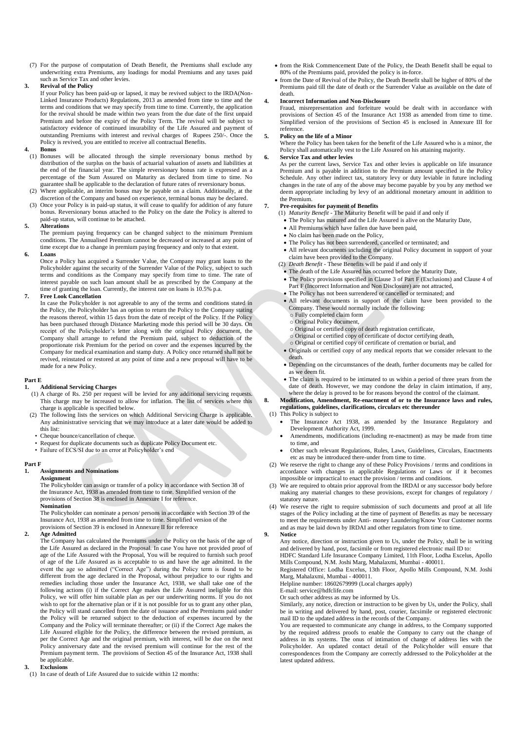(7) For the purpose of computation of Death Benefit, the Premiums shall exclude any underwriting extra Premiums, any loadings for modal Premiums and any taxes paid such as Service Tax and other levies.

#### **3. Revival of the Policy**

If your Policy has been paid-up or lapsed, it may be revived subject to the IRDA(Non-Linked Insurance Products) Regulations, 2013 as amended from time to time and the terms and conditions that we may specify from time to time. Currently, the application for the revival should be made within two years from the due date of the first unpaid Premium and before the expiry of the Policy Term. The revival will be subject to satisfactory evidence of continued insurability of the Life Assured and payment of outstanding Premiums with interest and revival charges of Rupees 250/-. Once the Policy is revived, you are entitled to receive all contractual Benefits.

#### **4. Bonus**

- (1) Bonuses will be allocated through the simple reversionary bonus method by distribution of the surplus on the basis of actuarial valuation of assets and liabilities at the end of the financial year. The simple reversionary bonus rate is expressed as a percentage of the Sum Assured on Maturity as declared from time to time. No guarantee shall be applicable to the declaration of future rates of reversionary bonus.
- (2) Where applicable, an interim bonus may be payable on a claim. Additionally, at the discretion of the Company and based on experience, terminal bonus may be declared.
- (3) Once your Policy is in paid-up status, it will cease to qualify for addition of any future bonus. Reversionary bonus attached to the Policy on the date the Policy is altered to paid-up status, will continue to be attached.

#### **5. Alterations**

The premium paying frequency can be changed subject to the minimum Premium conditions. The Annualised Premium cannot be decreased or increased at any point of time except due to a change in premium paying frequency and only to that extent.

#### **6. Loans**

Once a Policy has acquired a Surrender Value, the Company may grant loans to the Policyholder against the security of the Surrender Value of the Policy, subject to such terms and conditions as the Company may specify from time to time. The rate of interest payable on such loan amount shall be as prescribed by the Company at the time of granting the loan. Currently, the interest rate on loans is 10.5% p.a.

#### **7. Free Look Cancellation**

In case the Policyholder is not agreeable to any of the terms and conditions stated in the Policy, the Policyholder has an option to return the Policy to the Company stating the reasons thereof, within 15 days from the date of receipt of the Policy. If the Policy has been purchased through Distance Marketing mode this period will be 30 days. On receipt of the Policyholder's letter along with the original Policy document, the Company shall arrange to refund the Premium paid, subject to deduction of the proportionate risk Premium for the period on cover and the expenses incurred by the Company for medical examination and stamp duty. A Policy once returned shall not be revived, reinstated or restored at any point of time and a new proposal will have to be made for a new Policy.

#### **Part E**

#### **1. Additional Servicing Charges**

- (1) A charge of Rs. 250 per request will be levied for any additional servicing requests. This charge may be increased to allow for inflation. The list of services where this charge is applicable is specified below.
- (2) The following lists the services on which Additional Servicing Charge is applicable. Any administrative servicing that we may introduce at a later date would be added to this list:
	- Cheque bounce/cancellation of cheque.
	- Request for duplicate documents such as duplicate Policy Document etc.
	- Failure of ECS/SI due to an error at Policyholder's end

# **Part F**

#### **1. Assignments and Nominations Assignment**

The Policyholder can assign or transfer of a policy in accordance with Section 38 of the Insurance Act, 1938 as amended from time to time. Simplified version of the provisions of Section 38 is enclosed in Annexure I for reference.

### **Nomination**

The Policyholder can nominate a person/ persons in accordance with Section 39 of the Insurance Act, 1938 as amended from time to time. Simplified version of the provisions of Section 39 is enclosed in Annexure II for reference

#### **2. Age Admitted**

The Company has calculated the Premiums under the Policy on the basis of the age of the Life Assured as declared in the Proposal. In case You have not provided proof of age of the Life Assured with the Proposal, You will be required to furnish such proof of age of the Life Assured as is acceptable to us and have the age admitted. In the event the age so admitted ("Correct Age") during the Policy term is found to be different from the age declared in the Proposal, without prejudice to our rights and remedies including those under the Insurance Act, 1938, we shall take one of the following actions (i) if the Correct Age makes the Life Assured ineligible for this Policy, we will offer him suitable plan as per our underwriting norms. If you do not wish to opt for the alternative plan or if it is not possible for us to grant any other plan, the Policy will stand cancelled from the date of issuance and the Premiums paid under the Policy will be returned subject to the deduction of expenses incurred by the Company and the Policy will terminate thereafter; or (ii) if the Correct Age makes the Life Assured eligible for the Policy, the difference between the revised premium, as per the Correct Age and the original premium, with interest, will be due on the next Policy anniversary date and the revised premium will continue for the rest of the Premium payment term. The provisions of Section 45 of the Insurance Act, 1938 shall be applicable.

#### **3. Exclusions**

(1) In case of death of Life Assured due to suicide within 12 months:

- from the Risk Commencement Date of the Policy, the Death Benefit shall be equal to 80% of the Premiums paid, provided the policy is in-force.
- from the Date of Revival of the Policy, the Death Benefit shall be higher of 80% of the Premiums paid till the date of death or the Surrender Value as available on the date of death.

#### **4. Incorrect Information and Non-Disclosure**

Fraud, misrepresentation and forfeiture would be dealt with in accordance with provisions of Section 45 of the Insurance Act 1938 as amended from time to time. Simplified version of the provisions of Section 45 is enclosed in Annexure III for reference.

#### **5. Policy on the life of a Minor**

Where the Policy has been taken for the benefit of the Life Assured who is a minor, the Policy shall automatically vest to the Life Assured on his attaining majority.

#### **6. Service Tax and other levies**

As per the current laws, Service Tax and other levies is applicable on life insurance Premium and is payable in addition to the Premium amount specified in the Policy Schedule. Any other indirect tax, statutory levy or duty leviable in future including changes in the rate of any of the above may become payable by you by any method we deem appropriate including by levy of an additional monetary amount in addition to the Premium.

#### **7. Pre-requisites for payment of Benefits**

- (1) *Maturity Benefit*  The Maturity Benefit will be paid if and only if
- The Policy has matured and the Life Assured is alive on the Maturity Date,
- All Premiums which have fallen due have been paid,
- No claim has been made on the Policy.
- The Policy has not been surrendered, cancelled or terminated; and
- All relevant documents including the original Policy document in support of your claim have been provided to the Company.
- (2) *Death Benefit*  These Benefits will be paid if and only if
- The death of the Life Assured has occurred before the Maturity Date,
- The Policy provisions specified in Clause 3 of Part F (Exclusions) and Clause 4 of Part F (Incorrect Information and Non Disclosure) are not attracted,
- The Policy has not been surrendered or cancelled or terminated; and
- All relevant documents in support of the claim have been provided to the Company. These would normally include the following: o Fully completed claim form
	- o Original Policy document,
	- o Original or certified copy of death registration certificate,
	- Original or certified copy of certificate of doctor certifying death,
	- o Original or certified copy of certificate of cremation or burial, and
- Originals or certified copy of any medical reports that we consider relevant to the death.
- Depending on the circumstances of the death, further documents may be called for
- as we deem fit.
- The claim is required to be intimated to us within a period of three years from the date of death. However, we may condone the delay in claim intimation, if any, where the delay is proved to be for reasons beyond the control of the claimant.

#### **8. Modification, Amendment, Re-enactment of or to the Insurance laws and rules, regulations, guidelines, clarifications, circulars etc thereunder**  (1) This Policy is subject to

- The Insurance Act 1938, as amended by the Insurance Regulatory and Development Authority Act, 1999.
- Amendments, modifications (including re-enactment) as may be made from time to time, and
- Other such relevant Regulations, Rules, Laws, Guidelines, Circulars, Enactments etc as may be introduced there-under from time to time.
- (2) We reserve the right to change any of these Policy Provisions / terms and conditions in Accordance with changes in applicable Regulations or Laws or if it becomes impossible or impractical to enact the provision / terms and conditions.
- We are required to obtain prior approval from the IRDAI or any successor body before making any material changes to these provisions, except for changes of regulatory / statutory nature.
- (4) We reserve the right to require submission of such documents and proof at all life stages of the Policy including at the time of payment of Benefits as may be necessary to meet the requirements under Anti- money Laundering/Know Your Customer norms and as may be laid down by IRDAI and other regulators from time to time.

**9. Notice**

Any notice, direction or instruction given to Us, under the Policy, shall be in writing and delivered by hand, post, facsimile or from registered electronic mail ID to: HDFC Standard Life Insurance Company Limited, 11th Floor, Lodha Excelus, Apollo

Mills Compound, N.M. Joshi Marg, Mahalaxmi, Mumbai - 400011.

Registered Office: Lodha Excelus, 13th Floor, Apollo Mills Compound, N.M. Joshi Marg, Mahalaxmi, Mumbai - 400011. Helpline number: 18602679999 (Local charges apply)

E-mail: service@hdfclife.com

Or such other address as may be informed by Us.

Similarly, any notice, direction or instruction to be given by Us, under the Policy, shall be in writing and delivered by hand, post, courier, facsimile or registered electronic mail ID to the updated address in the records of the Company.

You are requested to communicate any change in address, to the Company supported by the required address proofs to enable the Company to carry out the change of address in its systems. The onus of intimation of change of address lies with the Policyholder. An updated contact detail of the Policyholder will ensure that correspondences from the Company are correctly addressed to the Policyholder at the latest updated address.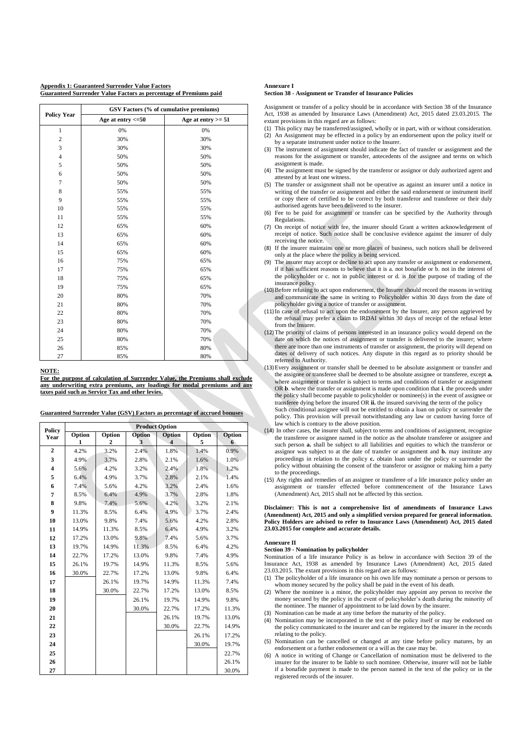**Appendix 1: Guaranteed Surrender Value Factors Guaranteed Surrender Value Factors as percentage of Premiums paid**

|                    | GSV Factors (% of cumulative premiums) |                      |  |  |  |
|--------------------|----------------------------------------|----------------------|--|--|--|
| <b>Policy Year</b> | Age at entry $\leq 50$                 | Age at entry $>= 51$ |  |  |  |
| $\mathbf{1}$       | 0%                                     | 0%                   |  |  |  |
| $\overline{c}$     | 30%                                    | 30%                  |  |  |  |
| 3                  | 30%                                    | 30%                  |  |  |  |
| $\overline{4}$     | 50%                                    | 50%                  |  |  |  |
| 5                  | 50%                                    | 50%                  |  |  |  |
| 6                  | 50%                                    | 50%                  |  |  |  |
| $\overline{7}$     | 50%                                    | 50%                  |  |  |  |
| 8                  | 55%                                    | 55%                  |  |  |  |
| 9                  | 55%                                    | 55%                  |  |  |  |
| 10                 | 55%                                    | 55%                  |  |  |  |
| 11                 | 55%                                    | 55%                  |  |  |  |
| 12                 | 65%                                    | 60%                  |  |  |  |
| 13                 | 65%                                    | 60%                  |  |  |  |
| 14                 | 65%                                    | 60%                  |  |  |  |
| 15                 | 65%                                    | 60%                  |  |  |  |
| 16                 | 75%                                    | 65%                  |  |  |  |
| 17                 | 75%                                    | 65%                  |  |  |  |
| 18                 | 75%                                    | 65%                  |  |  |  |
| 19                 | 75%                                    | 65%                  |  |  |  |
| 20                 | 80%                                    | 70%                  |  |  |  |
| 21                 | 80%                                    | 70%                  |  |  |  |
| 22                 | 80%                                    | 70%                  |  |  |  |
| 23                 | 80%                                    | 70%                  |  |  |  |
| 24                 | 80%                                    | 70%                  |  |  |  |
| 25                 | 80%                                    | 70%                  |  |  |  |
| 26                 | 85%                                    | 80%                  |  |  |  |
| 27                 | 85%                                    | 80%                  |  |  |  |

#### **NOTE:**

**For the purpose of calculation of Surrender Value, the Premiums shall exclude any underwriting extra premiums, any loadings for modal premiums and any taxes paid such as Service Tax and other levies.**

| Guaranteed Surrender Value (GSV) Factors as percentage of accrued bonuses |  |  |  |
|---------------------------------------------------------------------------|--|--|--|
|                                                                           |  |  |  |

| Policy                  | <b>Product Option</b> |        |        |        |        |        |  |
|-------------------------|-----------------------|--------|--------|--------|--------|--------|--|
| Year                    | Option                | Option | Option | Option | Option | Option |  |
| $\overline{2}$          | 1                     | 2      | 3      | 4      | 5      | 6      |  |
|                         | 4.2%                  | 3.2%   | 2.4%   | 1.8%   | 1.4%   | 0.9%   |  |
| 3                       | 4.9%                  | 3.7%   | 2.8%   | 2.1%   | 1.6%   | 1.0%   |  |
| $\overline{\mathbf{4}}$ | 5.6%                  | 4.2%   | 3.2%   | 2.4%   | 1.8%   | 1.2%   |  |
| 5                       | 6.4%                  | 4.9%   | 3.7%   | 2.8%   | 2.1%   | 1.4%   |  |
| 6                       | 7.4%                  | 5.6%   | 4.2%   | 3.2%   | 2.4%   | 1.6%   |  |
| 7                       | 8.5%                  | 6.4%   | 4.9%   | 3.7%   | 2.8%   | 1.8%   |  |
| 8                       | 9.8%                  | 7.4%   | 5.6%   | 4.2%   | 3.2%   | 2.1%   |  |
| 9                       | 11.3%                 | 8.5%   | 6.4%   | 4.9%   | 3.7%   | 2.4%   |  |
| 10                      | 13.0%                 | 9.8%   | 7.4%   | 5.6%   | 4.2%   | 2.8%   |  |
| 11                      | 14.9%                 | 11.3%  | 8.5%   | 6.4%   | 4.9%   | 3.2%   |  |
| 12                      | 17.2%                 | 13.0%  | 9.8%   | 7.4%   | 5.6%   | 3.7%   |  |
| 13                      | 19.7%                 | 14.9%  | 11.3%  | 8.5%   | 6.4%   | 4.2%   |  |
| 14                      | 22.7%                 | 17.2%  | 13.0%  | 9.8%   | 7.4%   | 4.9%   |  |
| 15                      | 26.1%                 | 19.7%  | 14.9%  | 11.3%  | 8.5%   | 5.6%   |  |
| 16                      | 30.0%                 | 22.7%  | 17.2%  | 13.0%  | 9.8%   | 6.4%   |  |
| 17                      |                       | 26.1%  | 19.7%  | 14.9%  | 11.3%  | 7.4%   |  |
| 18                      |                       | 30.0%  | 22.7%  | 17.2%  | 13.0%  | 8.5%   |  |
| 19                      |                       |        | 26.1%  | 19.7%  | 14.9%  | 9.8%   |  |
| 20                      |                       |        | 30.0%  | 22.7%  | 17.2%  | 11.3%  |  |
| 21                      |                       |        |        | 26.1%  | 19.7%  | 13.0%  |  |
| 22                      |                       |        |        | 30.0%  | 22.7%  | 14.9%  |  |
| 23                      |                       |        |        |        | 26.1%  | 17.2%  |  |
| 24                      |                       |        |        |        | 30.0%  | 19.7%  |  |
| 25                      |                       |        |        |        |        | 22.7%  |  |
| 26                      |                       |        |        |        |        | 26.1%  |  |
| 27                      |                       |        |        |        |        | 30.0%  |  |

#### **Annexure I**

#### **Section 38 - Assignment or Transfer of Insurance Policies**

Assignment or transfer of a policy should be in accordance with Section 38 of the Insurance Act, 1938 as amended by Insurance Laws (Amendment) Act, 2015 dated 23.03.2015. The extant provisions in this regard are as follows:

- (1) This policy may be transferred/assigned, wholly or in part, with or without consideration. (2) An Assignment may be effected in a policy by an endorsement upon the policy itself or
- by a separate instrument under notice to the Insurer. (3) The instrument of assignment should indicate the fact of transfer or assignment and the reasons for the assignment or transfer, antecedents of the assignee and terms on which assignment is made.
- (4) The assignment must be signed by the transferor or assignor or duly authorized agent and attested by at least one witness.
- (5) The transfer or assignment shall not be operative as against an insurer until a notice in writing of the transfer or assignment and either the said endorsement or instrument itself or copy there of certified to be correct by both transferor and transferee or their duly authorised agents have been delivered to the insurer.
- (6) Fee to be paid for assignment or transfer can be specified by the Authority through **Regulations**
- (7) On receipt of notice with fee, the insurer should Grant a written acknowledgement of receipt of notice. Such notice shall be conclusive evidence against the insurer of duly receiving the notice.
- (8) If the insurer maintains one or more places of business, such notices shall be delivered only at the place where the policy is being serviced.
- (9) The insurer may accept or decline to act upon any transfer or assignment or endorsement, if it has sufficient reasons to believe that it is a. not bonafide or b. not in the interest of the policyholder or c. not in public interest or d. is for the purpose of trading of the insurance policy.
- (10)Before refusing to act upon endorsement, the Insurer should record the reasons in writing and communicate the same in writing to Policyholder within 30 days from the date of policyholder giving a notice of transfer or assignment.
- (11)In case of refusal to act upon the endorsement by the Insurer, any person aggrieved by the refusal may prefer a claim to IRDAI within 30 days of receipt of the refusal letter from the Insurer.
- (12)The priority of claims of persons interested in an insurance policy would depend on the date on which the notices of assignment or transfer is delivered to the insurer; where there are more than one instruments of transfer or assignment, the priority will depend on dates of delivery of such notices. Any dispute in this regard as to priority should be referred to Authority.
- (13)Every assignment or transfer shall be deemed to be absolute assignment or transfer and the assignee or transferee shall be deemed to be absolute assignee or transferee, except **a.** where assignment or transfer is subject to terms and conditions of transfer or assignment OR **b**. where the transfer or assignment is made upon condition that **i**. the proceeds under the policy shall become payable to policyholder or nominee(s) in the event of assignee or transferee dying before the insured OR **ii.** the insured surviving the term of the policy

Such conditional assignee will not be entitled to obtain a loan on policy or surrender the policy. This provision will prevail notwithstanding any law or custom having force of law which is contrary to the above position.

- (14) In other cases, the insurer shall, subject to terms and conditions of assignment, recognize the transferee or assignee named in the notice as the absolute transferee or assignee and such person **a**, shall be subject to all liabilities and equities to which the transferor or assignor was subject to at the date of transfer or assignment and **b.** may institute any proceedings in relation to the policy **c.** obtain loan under the policy or surrender the policy without obtaining the consent of the transferor or assignor or making him a party to the proceedings.
- (15) Any rights and remedies of an assignee or transferee of a life insurance policy under an assignment or transfer effected before commencement of the Insurance Laws (Amendment) Act, 2015 shall not be affected by this section.

#### **Disclaimer: This is not a comprehensive list of amendments of Insurance Laws (Amendment) Act, 2015 and only a simplified version prepared for general information. Policy Holders are advised to refer to Insurance Laws (Amendment) Act, 2015 dated 23.03.2015 for complete and accurate details.**

# **Annexure II**

# **Section 39 - Nomination by policyholder**

Nomination of a life insurance Policy is as below in accordance with Section 39 of the Insurance Act, 1938 as amended by Insurance Laws (Amendment) Act, 2015 dated 23.03.2015. The extant provisions in this regard are as follows:

- (1) The policyholder of a life insurance on his own life may nominate a person or persons to whom money secured by the policy shall be paid in the event of his death.
- (2) Where the nominee is a minor, the policyholder may appoint any person to receive the money secured by the policy in the event of policyholder's death during the minority of the nominee. The manner of appointment to be laid down by the insurer.
- (3) Nomination can be made at any time before the maturity of the policy.
- (4) Nomination may be incorporated in the text of the policy itself or may be endorsed on the policy communicated to the insurer and can be registered by the insurer in the records relating to the policy.
- (5) Nomination can be cancelled or changed at any time before policy matures, by an endorsement or a further endorsement or a will as the case may be.
- (6) A notice in writing of Change or Cancellation of nomination must be delivered to the insurer for the insurer to be liable to such nominee. Otherwise, insurer will not be liable if a bonafide payment is made to the person named in the text of the policy or in the registered records of the insurer.